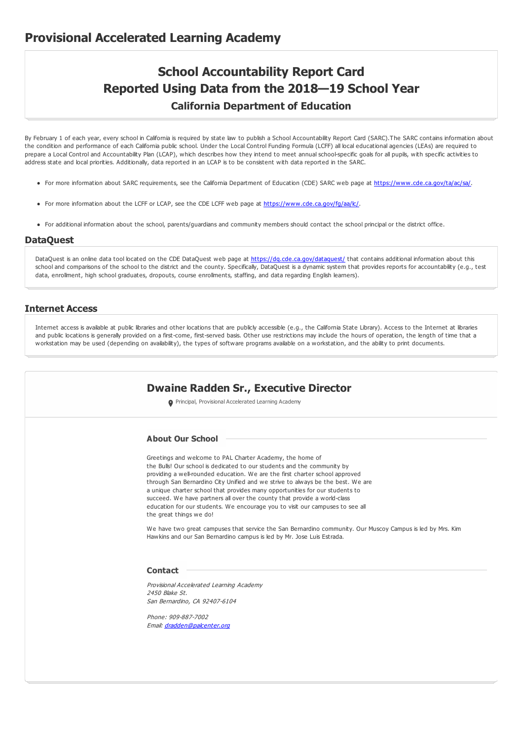# **School Accountability Report Card Reported Using Data from the 2018—19 School Year California Department of Education**

By February 1 of each year, every school in California is required by state law to publish a School Accountability Report Card (SARC).The SARC contains information about the condition and performance of each California public school. Under the Local Control Funding Formula (LCFF) all local educational agencies (LEAs) are required to prepare a Local Control and Accountability Plan (LCAP), which describes how they intend to meet annual school-specific goals for all pupils, with specific activities to address state and local priorities. Additionally, data reported in an LCAP is to be consistent with data reported in the SARC.

- For more information about SARC requirements, see the California Department of Education (CDE) SARC web page at <https://www.cde.ca.gov/ta/ac/sa/>.
- For more information about the LCFF or LCAP, see the CDE LCFF web page at <https://www.cde.ca.gov/fg/aa/lc/>.
- For additional information about the school, parents/guardians and community members should contact the school principal or the district office.

#### **DataQuest**

DataQuest is an online data tool located on the CDE DataQuest web page at <https://dq.cde.ca.gov/dataquest/> that contains additional information about this school and comparisons of the school to the district and the county. Specifically, DataQuest is a dynamic system that provides reports for accountability (e.g., test data, enrollment, high school graduates, dropouts, course enrollments, staffing, and data regarding English learners).

#### **Internet Access**

Internet access is available at public libraries and other locations that are publicly accessible (e.g., the California State Library). Access to the Internet at libraries and public locations is generally provided on a first-come, first-served basis. Other use restrictions may include the hours of operation, the length of time that a workstation may be used (depending on availability), the types of software programs available on a workstation, and the ability to print documents.

# **Dwaine Radden Sr., Executive Director**

Principal, Provisional Accelerated Learning Academy

#### **About Our School**

Greetings and welcome to PAL Charter Academy, the home of the Bulls! Our school is dedicated to our students and the community by providing a well-rounded education. We are the first charter school approved through San Bernardino City Unified and we strive to always be the best. We are a unique charter school that provides many opportunities for our students to succeed. We have partners all over the county that provide a world-class education for our students. We encourage you to visit our campuses to see all the great things we do!

We have two great campuses that service the San Bernardino community. Our Muscoy Campus is led by Mrs. Kim Hawkins and our San Bernardino campus is led by Mr. Jose Luis Estrada.

#### **Contact**

Provisional Accelerated Learning Academy 2450 Blake St. San Bernardino, CA 92407-6104

Phone: 909-887-7002 Email: [dradden@palcenter.org](mailto:dradden@palcenter.org)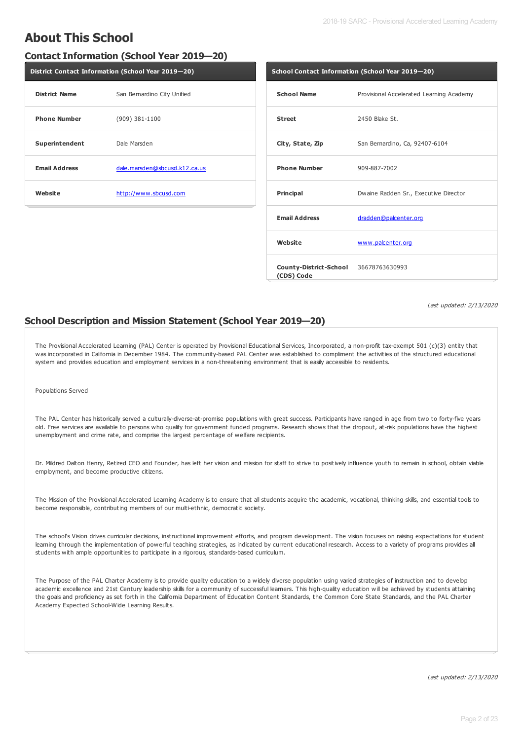# **About This School**

# **Contact Information (School Year 2019—20)**

| District Contact Information (School Year 2019-20) |                               |  |  |
|----------------------------------------------------|-------------------------------|--|--|
| <b>District Name</b>                               | San Bernardino City Unified   |  |  |
| <b>Phone Number</b>                                | (909) 381-1100                |  |  |
| Superintendent                                     | Dale Marsden                  |  |  |
| <b>Email Address</b>                               | dale.marsden@sbcusd.k12.ca.us |  |  |
| Website                                            | http://www.sbcusd.com         |  |  |

| School Contact Information (School Year 2019–20)    |                                          |  |  |  |
|-----------------------------------------------------|------------------------------------------|--|--|--|
| <b>School Name</b>                                  | Provisional Accelerated Learning Academy |  |  |  |
| <b>Street</b>                                       | 2450 Blake St.                           |  |  |  |
| City, State, Zip                                    | San Bernardino, Ca, 92407-6104           |  |  |  |
| <b>Phone Number</b>                                 | 909-887-7002                             |  |  |  |
| <b>Principal</b>                                    | Dwaine Radden Sr., Executive Director    |  |  |  |
| <b>Email Address</b>                                | dradden@palcenter.org                    |  |  |  |
| Website                                             | www.palcenter.org                        |  |  |  |
| County-District-School 36678763630993<br>(CDS) Code |                                          |  |  |  |

Last updated: 2/13/2020

# **School Description and Mission Statement (School Year 2019—20)**

The Provisional Accelerated Learning (PAL) Center is operated by Provisional Educational Services, Incorporated, a non-profit tax-exempt 501 (c)(3) entity that was incorporated in California in December 1984. The community-based PAL Center was established to compliment the activities of the structured educational system and provides education and employment services in a non-threatening environment that is easily accessible to residents.

Populations Served

The PAL Center has historically served a culturally-diverse-at-promise populations with great success. Participants have ranged in age from two to forty-five years old. Free services are available to persons who qualify for government funded programs. Research shows that the dropout, at-risk populations have the highest unemployment and crime rate, and comprise the largest percentage of welfare recipients.

Dr. Mildred Dalton Henry, Retired CEO and Founder, has left her vision and mission for staff to strive to positively influence youth to remain in school, obtain viable employment, and become productive citizens.

The Mission of the Provisional Accelerated Learning Academy is to ensure that all students acquire the academic, vocational, thinking skills, and essential tools to become responsible, contributing members of our multi-ethnic, democratic society.

The school's Vision drives curricular decisions, instructional improvement efforts, and program development. The vision focuses on raising expectations for student learning through the implementation of powerful teaching strategies, as indicated by current educational research. Access to a variety of programs provides all students with ample opportunities to participate in a rigorous, standards-based curriculum.

The Purpose of the PAL Charter Academy is to provide quality education to a widely diverse population using varied strategies of instruction and to develop academic excellence and 21st Century leadership skills for a community of successful learners. This high-quality education will be achieved by students attaining the goals and proficiency as set forth in the California Department of Education Content Standards, the Common Core State Standards, and the PAL Charter Academy Expected School-Wide Learning Results.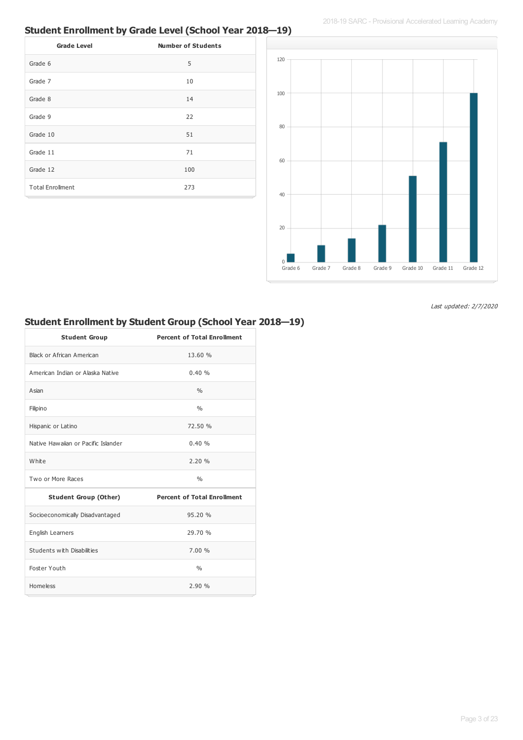# **Student Enrollment by Grade Level (School Year 2018—19)**

| <b>Grade Level</b>      | <b>Number of Students</b> |
|-------------------------|---------------------------|
| Grade 6                 | 5                         |
| Grade 7                 | 10                        |
| Grade 8                 | 14                        |
| Grade 9                 | 22                        |
| Grade 10                | 51                        |
| Grade 11                | 71                        |
| Grade 12                | 100                       |
| <b>Total Enrollment</b> | 273                       |



Last updated: 2/7/2020

# **Student Enrollment by Student Group (School Year 2018—19)**

| <b>Student Group</b>                | <b>Percent of Total Enrollment</b> |
|-------------------------------------|------------------------------------|
| Black or African American           | 13.60 %                            |
| American Indian or Alaska Native    | 0.40%                              |
| Asian                               | $\frac{0}{0}$                      |
| Filipino                            | 0/6                                |
| Hispanic or Latino                  | 72.50%                             |
| Native Hawaiian or Pacific Islander | 0.40%                              |
| White                               | 2.20%                              |
| Two or More Races                   | $\frac{0}{0}$                      |
| <b>Student Group (Other)</b>        | <b>Percent of Total Enrollment</b> |
| Socioeconomically Disadvantaged     | 95.20%                             |
| English Learners                    | 29.70 %                            |
| Students with Disabilities          | 7.00 %                             |
| Foster Youth                        | $\frac{0}{0}$                      |
| Homeless                            | 2.90%                              |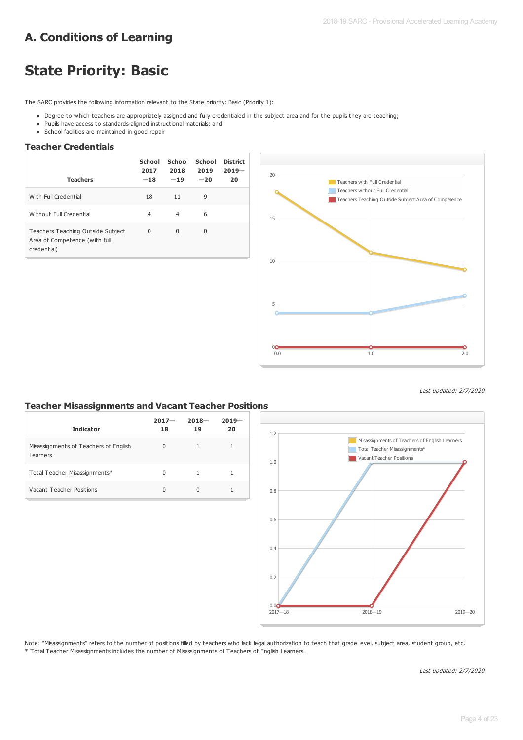# **A. Conditions of Learning**

# **State Priority: Basic**

The SARC provides the following information relevant to the State priority: Basic (Priority 1):

- Degree to which teachers are appropriately assigned and fully credentialed in the subject area and for the pupils they are teaching;
- Pupils have access to standards-aligned instructional materials; and
- School facilities are maintained in good repair

## **Teacher Credentials**

| <b>Teachers</b>                                                                   | School<br>2017<br>$-18$ | School<br>2018<br>$-19$ | School<br>2019<br>$-20$ | District<br>$2019-$<br>20 |
|-----------------------------------------------------------------------------------|-------------------------|-------------------------|-------------------------|---------------------------|
| With Full Credential                                                              | 18                      | 11                      | 9                       |                           |
| Without Full Credential                                                           | 4                       | $\overline{4}$          | 6                       |                           |
| Teachers Teaching Outside Subject<br>Area of Competence (with full<br>credential) | $\Omega$                | $\Omega$                | $\Omega$                |                           |



Last updated: 2/7/2020

## **Teacher Misassignments and Vacant Teacher Positions**

| <b>Indicator</b>                                  | $2017 -$<br>18 | $2018 -$<br>19 | $2019-$<br>20 |
|---------------------------------------------------|----------------|----------------|---------------|
| Misassignments of Teachers of English<br>Learners | 0              |                |               |
| Total Teacher Misassignments*                     | 0              |                |               |
| Vacant Teacher Positions                          | 0              | O              |               |



Note: "Misassignments" refers to the number of positions filled by teachers who lack legal authorization to teach that grade level, subject area, student group, etc. \* Total Teacher Misassignments includes the number of Misassignments of Teachers of English Learners.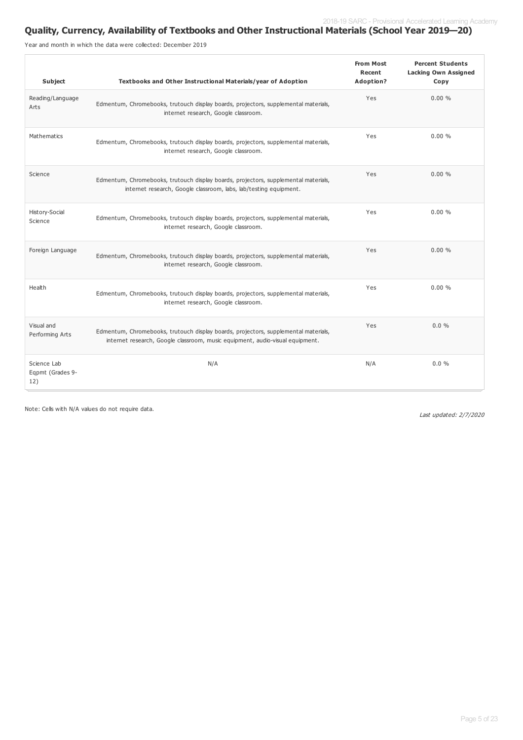# **Quality, Currency, Availability of Textbooks and Other Instructional Materials (School Year 2019—20)**

Year and month in which the data were collected: December 2019

| Subject                                | Textbooks and Other Instructional Materials/year of Adoption                                                                                                         | <b>From Most</b><br>Recent<br><b>Adoption?</b> | <b>Percent Students</b><br><b>Lacking Own Assigned</b><br>Copy |
|----------------------------------------|----------------------------------------------------------------------------------------------------------------------------------------------------------------------|------------------------------------------------|----------------------------------------------------------------|
| Reading/Language<br>Arts               | Edmentum, Chromebooks, trutouch display boards, projectors, supplemental materials,<br>internet research, Google classroom.                                          | Yes                                            | 0.00%                                                          |
| Mathematics                            | Edmentum, Chromebooks, trutouch display boards, projectors, supplemental materials,<br>internet research, Google classroom.                                          | Yes                                            | 0.00%                                                          |
| Science                                | Edmentum, Chromebooks, trutouch display boards, projectors, supplemental materials,<br>internet research, Google classroom, labs, lab/testing equipment.             | Yes                                            | 0.00%                                                          |
| History-Social<br>Science              | Edmentum, Chromebooks, trutouch display boards, projectors, supplemental materials,<br>internet research, Google classroom.                                          | Yes                                            | 0.00%                                                          |
| Foreign Language                       | Edmentum, Chromebooks, trutouch display boards, projectors, supplemental materials,<br>internet research, Google classroom.                                          | Yes                                            | 0.00%                                                          |
| Health                                 | Edmentum, Chromebooks, trutouch display boards, projectors, supplemental materials,<br>internet research, Google classroom.                                          | Yes                                            | 0.00%                                                          |
| Visual and<br>Performing Arts          | Edmentum, Chromebooks, trutouch display boards, projectors, supplemental materials,<br>internet research, Google classroom, music equipment, audio-visual equipment. | Yes                                            | 0.0%                                                           |
| Science Lab<br>Eqpmt (Grades 9-<br>12) | N/A                                                                                                                                                                  | N/A                                            | 0.0%                                                           |

Note: Cells with N/A values do not require data.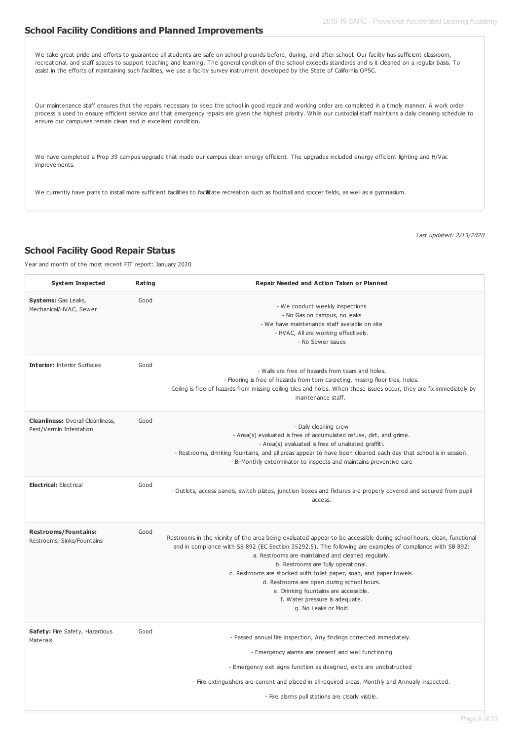#### 2018-19 SARC - Provisional Accelerated Learning Academy

### **School Facility Conditions and Planned Improvements**

We take great pride and efforts to guarantee all students are safe on school grounds before, during, and after school. Our facility has sufficient classroom, recreational, and staff spaces to support teaching and learning. The general condition of the school exceeds standards and is it cleaned on a regular basis. To assist in the efforts of maintaining such facilities, we use a facility survey instrument developed by the State of California OPSC.

Our maintenance staff ensures that the repairs necessary to keep the school in good repair and working order are completed in a timely manner. A work order process is used to ensure efficient service and that emergency repairs are given the highest priority. While our custodial staff maintains a daily cleaning schedule to ensure our campuses remain clean and in excellent condition.

We have completed a Prop 39 campus upgrade that made our campus clean energy efficient. The upgrades included energy efficient lighting and H/Vac improvements.

We currently have plans to install more sufficient facilities to facilitate recreation such as football and soccer fields, as well as a gymnasium.

Last updated: 2/13/2020

### **School Facility Good Repair Status**

Year and month of the most recent FIT report: January 2020

| <b>System Inspected</b>                                             | Rating | Repair Needed and Action Taken or Planned                                                                                                                                                                                                                                                                                                                                                                                                                                                                                                             |
|---------------------------------------------------------------------|--------|-------------------------------------------------------------------------------------------------------------------------------------------------------------------------------------------------------------------------------------------------------------------------------------------------------------------------------------------------------------------------------------------------------------------------------------------------------------------------------------------------------------------------------------------------------|
| <b>Systems: Gas Leaks,</b><br>Mechanical/HVAC, Sewer                | Good   | - We conduct weekly inspections<br>- No Gas on campus, no leaks<br>- We have maintenance staff available on site<br>- HVAC, All are working effectively.<br>- No Sewer issues                                                                                                                                                                                                                                                                                                                                                                         |
| <b>Interior: Interior Surfaces</b>                                  | Good   | - Walls are free of hazards from tears and holes.<br>- Flooring is free of hazards from torn carpeting, missing floor tiles, holes.<br>- Ceiling is free of hazards from missing ceiling tiles and holes. When these issues occur, they are fix immediately by<br>maintenance staff.                                                                                                                                                                                                                                                                  |
| <b>Cleanliness: Overall Cleanliness,</b><br>Pest/Vermin Infestation | Good   | - Daily cleaning crew<br>- Area(s) evaluated is free of accumulated refuse, dirt, and grime.<br>- Area(s) evaluated is free of unabated graffiti.<br>- Restrooms, drinking fountains, and all areas appear to have been cleaned each day that school is in session.<br>- Bi-Monthly exterminator to inspects and maintains preventive care                                                                                                                                                                                                            |
| <b>Electrical: Electrical</b>                                       | Good   | - Outlets, access panels, switch plates, junction boxes and fixtures are properly covered and secured from pupil<br>access.                                                                                                                                                                                                                                                                                                                                                                                                                           |
| <b>Restrooms/Fountains:</b><br>Restrooms, Sinks/Fountains           | Good   | Restrooms in the vicinity of the area being evaluated appear to be accessible during school hours, clean, functional<br>and in compliance with SB 892 (EC Section 35292.5). The following are examples of compliance with SB 892:<br>a. Restrooms are maintained and cleaned regularly.<br>b. Restrooms are fully operational.<br>c. Restrooms are stocked with toilet paper, soap, and paper towels.<br>d. Restrooms are open during school hours.<br>e. Drinking fountains are accessible.<br>f. Water pressure is adequate.<br>g. No Leaks or Mold |
| Safety: Fire Safety, Hazardous<br>Materials                         | Good   | - Passed annual fire inspection, Any findings corrected immediately.<br>- Emergency alarms are present and well functioning<br>- Emergency exit signs function as designed, exits are unobstructed<br>- Fire extinguishers are current and placed in all required areas. Monthly and Annually inspected.<br>- Fire alarms pull stations are clearly visible.                                                                                                                                                                                          |
|                                                                     |        |                                                                                                                                                                                                                                                                                                                                                                                                                                                                                                                                                       |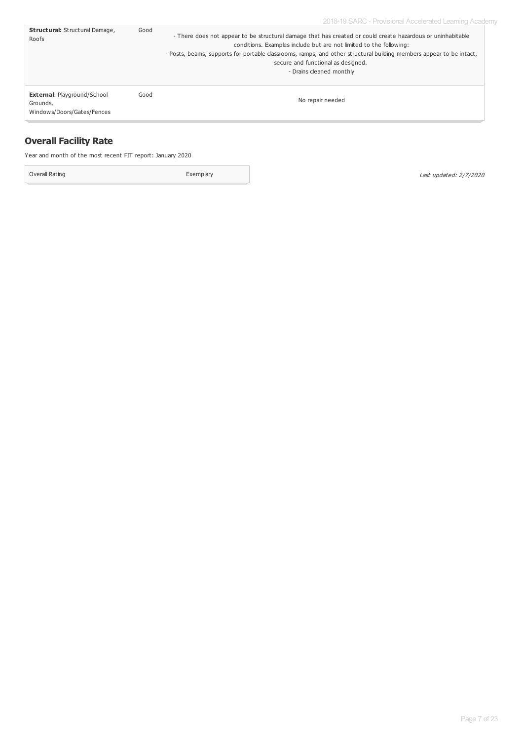|                                                                              |      | 2018-19 SARC - Provisional Accelerated Learning Academy                                                                                                                                                                                                                                                                                                                    |
|------------------------------------------------------------------------------|------|----------------------------------------------------------------------------------------------------------------------------------------------------------------------------------------------------------------------------------------------------------------------------------------------------------------------------------------------------------------------------|
| <b>Structural:</b> Structural Damage,<br>Roofs                               | Good | - There does not appear to be structural damage that has created or could create hazardous or uninhabitable<br>conditions. Examples include but are not limited to the following:<br>- Posts, beams, supports for portable classrooms, ramps, and other structural building members appear to be intact,<br>secure and functional as designed.<br>- Drains cleaned monthly |
| <b>External: Playground/School</b><br>Grounds,<br>Windows/Doors/Gates/Fences | Good | No repair needed                                                                                                                                                                                                                                                                                                                                                           |

# **Overall Facility Rate**

Year and month of the most recent FIT report: January 2020

Overall Rating **Exemplary**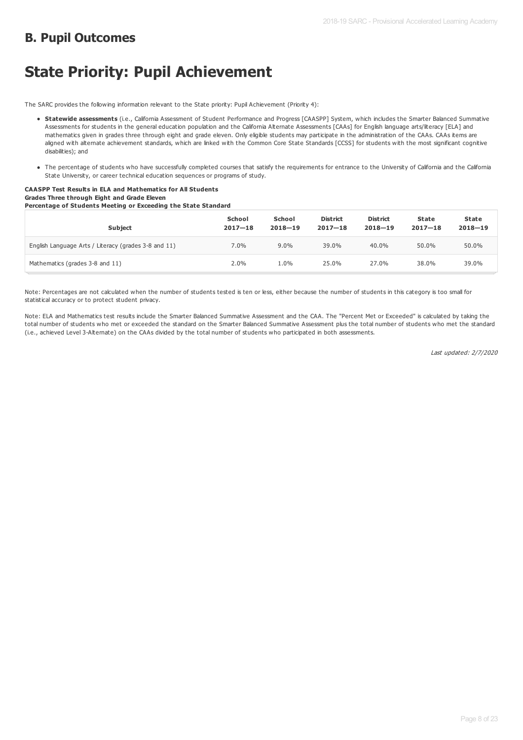# **B. Pupil Outcomes**

# **State Priority: Pupil Achievement**

The SARC provides the following information relevant to the State priority: Pupil Achievement (Priority 4):

- **Statewide assessments** (i.e., California Assessment of Student Performance and Progress [CAASPP] System, which includes the Smarter Balanced Summative Assessments for students in the general education population and the California Alternate Assessments [CAAs] for English language arts/literacy [ELA] and mathematics given in grades three through eight and grade eleven. Only eligible students may participate in the administration of the CAAs. CAAs items are aligned with alternate achievement standards, which are linked with the Common Core State Standards [CCSS] for students with the most significant cognitive disabilities); and
- The percentage of students who have successfully completed courses that satisfy the requirements for entrance to the University of California and the California State University, or career technical education sequences or programs of study.

#### **CAASPP Test Results in ELA and Mathematics for All Students Grades Three through Eight and Grade Eleven Percentage of Students Meeting or Exceeding the State Standard**

| <b>Subject</b>                                       | School<br>$2017 - 18$ | School<br>$2018 - 19$ | <b>District</b><br>$2017 - 18$ | <b>District</b><br>$2018 - 19$ | State<br>$2017 - 18$ | State<br>$2018 - 19$ |
|------------------------------------------------------|-----------------------|-----------------------|--------------------------------|--------------------------------|----------------------|----------------------|
| English Language Arts / Literacy (grades 3-8 and 11) | 7.0%                  | $9.0\%$               | 39.0%                          | 40.0%                          | 50.0%                | 50.0%                |
| Mathematics (grades 3-8 and 11)                      | 2.0%                  | 1.0%                  | 25.0%                          | 27.0%                          | 38.0%                | 39.0%                |

Note: Percentages are not calculated when the number of students tested is ten or less, either because the number of students in this category is too small for statistical accuracy or to protect student privacy.

Note: ELA and Mathematics test results include the Smarter Balanced Summative Assessment and the CAA. The "Percent Met or Exceeded" is calculated by taking the total number of students who met or exceeded the standard on the Smarter Balanced Summative Assessment plus the total number of students who met the standard (i.e., achieved Level 3-Alternate) on the CAAs divided by the total number of students who participated in both assessments.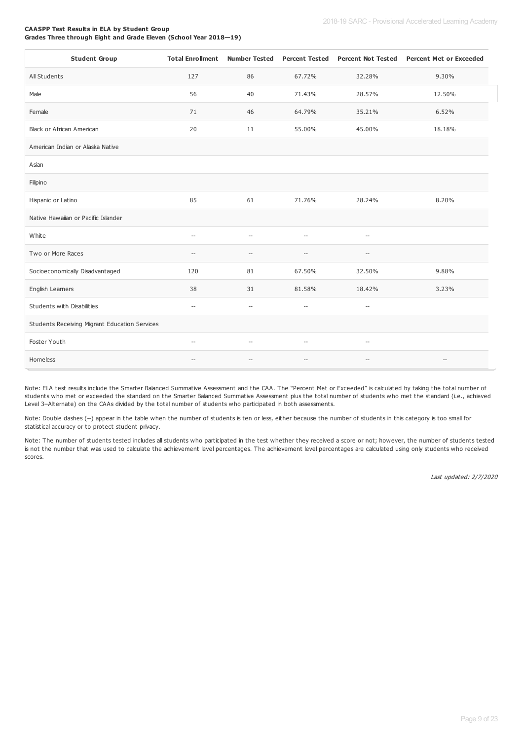#### **CAASPP Test Results in ELA by Student Group Grades Three through Eight and Grade Eleven (School Year 2018—19)**

| <b>Student Group</b>                          | <b>Total Enrollment</b>            |                          |                          |                                                     | Number Tested Percent Tested Percent Not Tested Percent Met or Exceeded |
|-----------------------------------------------|------------------------------------|--------------------------|--------------------------|-----------------------------------------------------|-------------------------------------------------------------------------|
| All Students                                  | 127                                | 86                       | 67.72%                   | 32.28%                                              | 9.30%                                                                   |
| Male                                          | 56                                 | 40                       | 71.43%                   | 28.57%                                              | 12.50%                                                                  |
| Female                                        | 71                                 | 46                       | 64.79%                   | 35.21%                                              | 6.52%                                                                   |
| <b>Black or African American</b>              | 20                                 | 11                       | 55.00%                   | 45.00%                                              | 18.18%                                                                  |
| American Indian or Alaska Native              |                                    |                          |                          |                                                     |                                                                         |
| Asian                                         |                                    |                          |                          |                                                     |                                                                         |
| Filipino                                      |                                    |                          |                          |                                                     |                                                                         |
| Hispanic or Latino                            | 85                                 | 61                       | 71.76%                   | 28.24%                                              | 8.20%                                                                   |
| Native Hawaiian or Pacific Islander           |                                    |                          |                          |                                                     |                                                                         |
| White                                         | $\hspace{0.05cm} -\hspace{0.05cm}$ | $\qquad \qquad -$        | $\hspace{0.05cm} \ldots$ | $\hspace{0.05cm} -\hspace{0.05cm} -\hspace{0.05cm}$ |                                                                         |
| Two or More Races                             | --                                 | $\overline{\phantom{a}}$ | $\overline{\phantom{a}}$ | $\hspace{0.05cm} -\hspace{0.05cm} -\hspace{0.05cm}$ |                                                                         |
| Socioeconomically Disadvantaged               | 120                                | 81                       | 67.50%                   | 32.50%                                              | 9.88%                                                                   |
| English Learners                              | 38                                 | 31                       | 81.58%                   | 18.42%                                              | 3.23%                                                                   |
| Students with Disabilities                    | $\hspace{0.05cm} -$                | $\qquad \qquad -$        | $\hspace{0.05cm} \ldots$ | $\overline{\phantom{a}}$                            |                                                                         |
| Students Receiving Migrant Education Services |                                    |                          |                          |                                                     |                                                                         |
| Foster Youth                                  | $\overline{\phantom{a}}$           | $\overline{\phantom{a}}$ | $\overline{\phantom{a}}$ | $\overline{\phantom{a}}$                            |                                                                         |
| Homeless                                      | --                                 | $\hspace{0.05cm} -$      | $\overline{\phantom{a}}$ | $\hspace{0.05cm} -\hspace{0.05cm} -\hspace{0.05cm}$ | --                                                                      |

Note: ELA test results include the Smarter Balanced Summative Assessment and the CAA. The "Percent Met or Exceeded" is calculated by taking the total number of students who met or exceeded the standard on the Smarter Balanced Summative Assessment plus the total number of students who met the standard (i.e., achieved Level 3-Alternate) on the CAAs divided by the total number of students who participated in both assessments.

Note: Double dashes (--) appear in the table when the number of students is ten or less, either because the number of students in this category is too small for statistical accuracy or to protect student privacy.

Note: The number of students tested includes all students who participated in the test whether they received a score or not; however, the number of students tested is not the number that was used to calculate the achievement level percentages. The achievement level percentages are calculated using only students who received scores.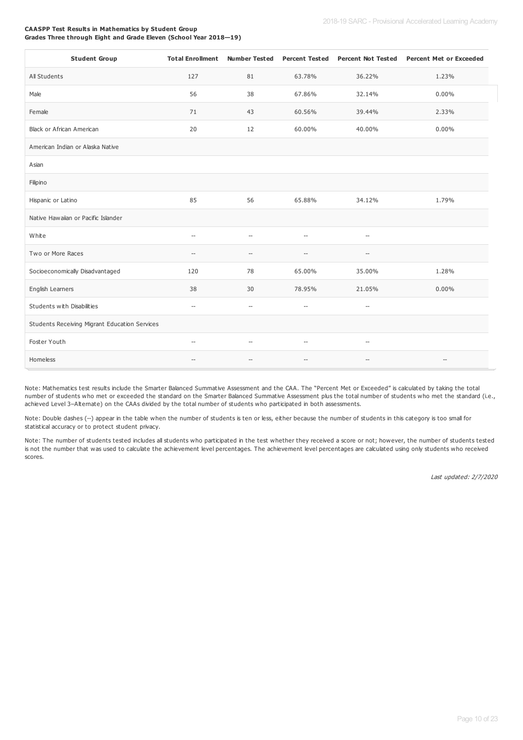#### **CAASPP Test Results in Mathematics by Student Group Grades Three through Eight and Grade Eleven (School Year 2018—19)**

| <b>Student Group</b>                          |                          |                          |                          |                                                     | Total Enrollment Number Tested Percent Tested Percent Not Tested Percent Met or Exceeded |
|-----------------------------------------------|--------------------------|--------------------------|--------------------------|-----------------------------------------------------|------------------------------------------------------------------------------------------|
| All Students                                  | 127                      | 81                       | 63.78%                   | 36.22%                                              | 1.23%                                                                                    |
| Male                                          | 56                       | 38                       | 67.86%                   | 32.14%                                              | $0.00\%$                                                                                 |
| Female                                        | 71                       | 43                       | 60.56%                   | 39.44%                                              | 2.33%                                                                                    |
| Black or African American                     | 20                       | 12                       | 60.00%                   | 40.00%                                              | $0.00\%$                                                                                 |
| American Indian or Alaska Native              |                          |                          |                          |                                                     |                                                                                          |
| Asian                                         |                          |                          |                          |                                                     |                                                                                          |
| Filipino                                      |                          |                          |                          |                                                     |                                                                                          |
| Hispanic or Latino                            | 85                       | 56                       | 65.88%                   | 34.12%                                              | 1.79%                                                                                    |
| Native Hawaiian or Pacific Islander           |                          |                          |                          |                                                     |                                                                                          |
| White                                         | $\overline{\phantom{a}}$ | $\overline{\phantom{a}}$ | $\hspace{0.05cm} \ldots$ | $\hspace{0.05cm} -\hspace{0.05cm} -\hspace{0.05cm}$ |                                                                                          |
| Two or More Races                             | $\overline{\phantom{a}}$ | $-$                      | $\overline{\phantom{a}}$ | $\hspace{0.05cm} -\hspace{0.05cm} -\hspace{0.05cm}$ |                                                                                          |
| Socioeconomically Disadvantaged               | 120                      | 78                       | 65.00%                   | 35.00%                                              | 1.28%                                                                                    |
| English Learners                              | 38                       | 30                       | 78.95%                   | 21.05%                                              | $0.00\%$                                                                                 |
| Students with Disabilities                    | $\hspace{0.05cm} -$      | $\overline{\phantom{a}}$ | $\hspace{0.05cm} \ldots$ | $\hspace{0.05cm} -\hspace{0.05cm} -\hspace{0.05cm}$ |                                                                                          |
| Students Receiving Migrant Education Services |                          |                          |                          |                                                     |                                                                                          |
| Foster Youth                                  | $\overline{\phantom{a}}$ | $-$                      | $\overline{\phantom{a}}$ | $\hspace{0.05cm} -\hspace{0.05cm} -\hspace{0.05cm}$ |                                                                                          |
| Homeless                                      | $\overline{\phantom{a}}$ | $\overline{\phantom{a}}$ | $\overline{\phantom{a}}$ | $\hspace{0.05cm} -\hspace{0.05cm} -\hspace{0.05cm}$ | $\hspace{0.05cm} -$                                                                      |

Note: Mathematics test results include the Smarter Balanced Summative Assessment and the CAA. The "Percent Met or Exceeded" is calculated by taking the total number of students who met or exceeded the standard on the Smarter Balanced Summative Assessment plus the total number of students who met the standard (i.e., achieved Level 3–Alternate) on the CAAs divided by the total number of students who participated in both assessments.

Note: Double dashes (--) appear in the table when the number of students is ten or less, either because the number of students in this category is too small for statistical accuracy or to protect student privacy.

Note: The number of students tested includes all students who participated in the test whether they received a score or not; however, the number of students tested is not the number that was used to calculate the achievement level percentages. The achievement level percentages are calculated using only students who received scores.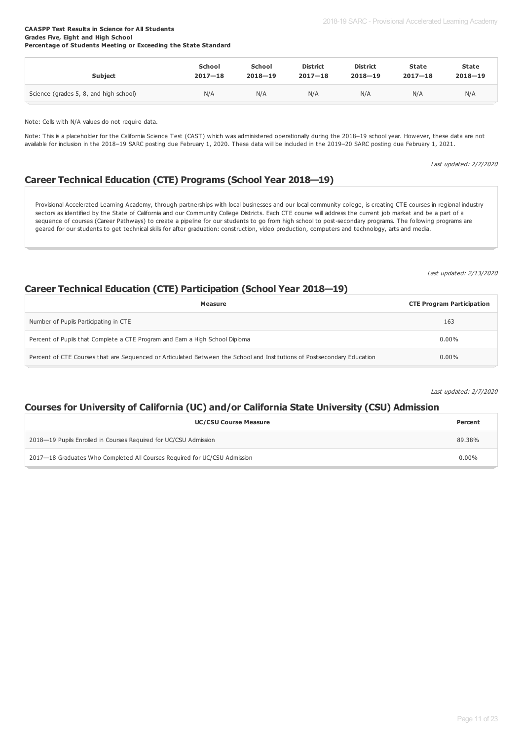#### **CAASPP Test Results in Science for All Students Grades Five, Eight and High School Percentage of Students Meeting or Exceeding the State Standard**

| <b>Subject</b>                         | School      | School      | <b>District</b> | <b>District</b> | <b>State</b> | <b>State</b> |
|----------------------------------------|-------------|-------------|-----------------|-----------------|--------------|--------------|
|                                        | $2017 - 18$ | $2018 - 19$ | $2017 - 18$     | $2018 - 19$     | $2017 - 18$  | $2018 - 19$  |
| Science (grades 5, 8, and high school) | N/A         | N/A         | N/A             | N/A             | N/A          | N/A          |

#### Note: Cells with N/A values do not require data.

Note: This is a placeholder for the California Science Test (CAST) which was administered operationally during the 2018–19 school year. However, these data are not available for inclusion in the 2018–19 SARC posting due February 1, 2020. These data will be included in the 2019–20 SARC posting due February 1, 2021.

Last updated: 2/7/2020

# **Career Technical Education (CTE) Programs (School Year 2018—19)**

Provisional Accelerated Learning Academy, through partnerships with local businesses and our local community college, is creating CTE courses in regional industry sectors as identified by the State of California and our Community College Districts. Each CTE course will address the current job market and be a part of a sequence of courses (Career Pathways) to create a pipeline for our students to go from high school to post-secondary programs. The following programs are geared for our students to get technical skills for after graduation: construction, video production, computers and technology, arts and media.

Last updated: 2/13/2020

## **Career Technical Education (CTE) Participation (School Year 2018—19)**

| <b>Measure</b>                                                                                                          | <b>CTE Program Participation</b> |
|-------------------------------------------------------------------------------------------------------------------------|----------------------------------|
| Number of Pupils Participating in CTE                                                                                   | 163                              |
| Percent of Pupils that Complete a CTE Program and Earn a High School Diploma                                            | $0.00\%$                         |
| Percent of CTE Courses that are Sequenced or Articulated Between the School and Institutions of Postsecondary Education | $0.00\%$                         |

Last updated: 2/7/2020

### **Courses for University of California (UC) and/or California State University (CSU) Admission**

| <b>UC/CSU Course Measure</b>                                              | Percent  |
|---------------------------------------------------------------------------|----------|
| 2018–19 Pupils Enrolled in Courses Required for UC/CSU Admission          | 89.38%   |
| 2017—18 Graduates Who Completed All Courses Required for UC/CSU Admission | $0.00\%$ |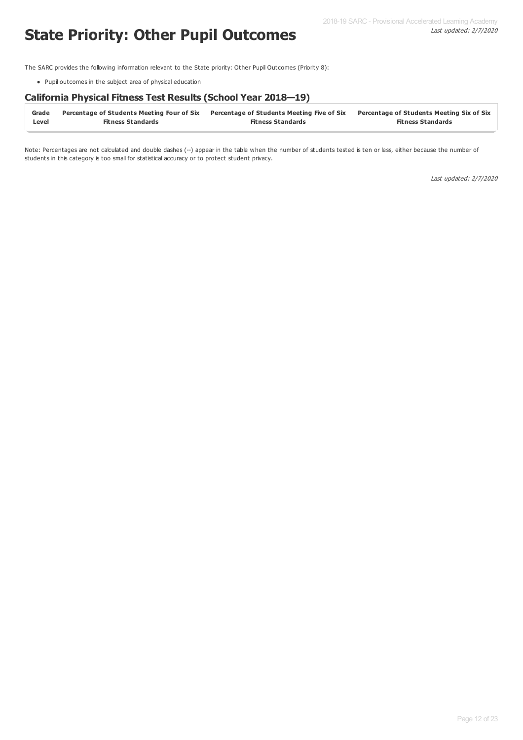# **State Priority: Other Pupil Outcomes**

The SARC provides the following information relevant to the State priority: Other Pupil Outcomes (Priority 8):

Pupil outcomes in the subject area of physical education

## **California Physical Fitness Test Results (School Year 2018—19)**

| Grade | Percentage of Students Meeting Four of Six Percentage of Students Meeting Five of Six |                          | <b>Percentage of Students Meeting Six of Six</b> |
|-------|---------------------------------------------------------------------------------------|--------------------------|--------------------------------------------------|
| Level | <b>Fitness Standards</b>                                                              | <b>Fitness Standards</b> | <b>Fitness Standards</b>                         |

Note: Percentages are not calculated and double dashes (--) appear in the table when the number of students tested is ten or less, either because the number of students in this category is too small for statistical accuracy or to protect student privacy.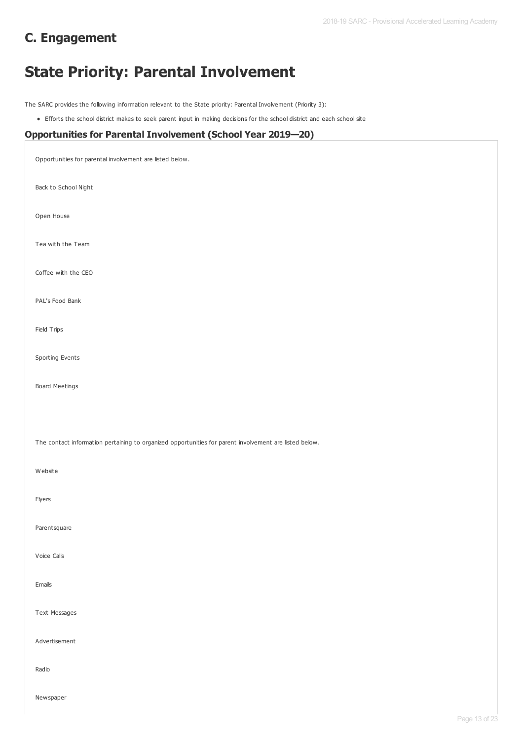# **C. Engagement**

# **State Priority: Parental Involvement**

The SARC provides the following information relevant to the State priority: Parental Involvement (Priority 3):

Efforts the school district makes to seek parent input in making decisions for the school district and each school site

## **Opportunities for Parental Involvement (School Year 2019—20)**

| Opportunities for parental involvement are listed below.                                               |
|--------------------------------------------------------------------------------------------------------|
| Back to School Night                                                                                   |
| Open House                                                                                             |
| Tea with the Team                                                                                      |
| Coffee with the CEO                                                                                    |
| PAL's Food Bank                                                                                        |
| Field Trips                                                                                            |
| Sporting Events                                                                                        |
| Board Meetings                                                                                         |
|                                                                                                        |
|                                                                                                        |
| The contact information pertaining to organized opportunities for parent involvement are listed below. |
| Website                                                                                                |
| Flyers                                                                                                 |
| Parentsquare                                                                                           |
| Voice Calls                                                                                            |
| Emails                                                                                                 |
| Text Messages                                                                                          |
| Advertisement                                                                                          |
| Radio                                                                                                  |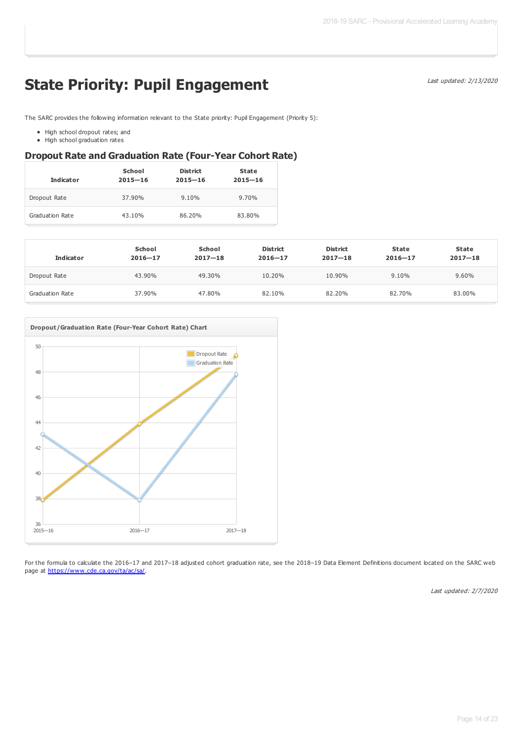# **State Priority: Pupil Engagement**

Last updated: 2/13/2020

The SARC provides the following information relevant to the State priority: Pupil Engagement (Priority 5):

- High school dropout rates; and
- High school graduation rates

## **Dropout Rate and Graduation Rate (Four-Year Cohort Rate)**

| <b>Indicator</b> | School<br>$2015 - 16$ | <b>District</b><br>$2015 - 16$ | <b>State</b><br>$2015 - 16$ |
|------------------|-----------------------|--------------------------------|-----------------------------|
| Dropout Rate     | 37.90%                | 9.10%                          | $9.70\%$                    |
| Graduation Rate  | 43.10%                | 86.20%                         | 83.80%                      |

| <b>Indicator</b>       | School<br>$2016 - 17$ | School<br>$2017 - 18$ | <b>District</b><br>$2016 - 17$ | <b>District</b><br>$2017 - 18$ | <b>State</b><br>$2016 - 17$ | <b>State</b><br>$2017 - 18$ |
|------------------------|-----------------------|-----------------------|--------------------------------|--------------------------------|-----------------------------|-----------------------------|
| Dropout Rate           | 43.90%                | 49.30%                | 10.20%                         | 10.90%                         | 9.10%                       | 9.60%                       |
| <b>Graduation Rate</b> | 37.90%                | 47.80%                | 82.10%                         | 82.20%                         | 82.70%                      | 83.00%                      |



For the formula to calculate the 2016–17 and 2017–18 adjusted cohort graduation rate, see the 2018–19 Data Element Definitions document located on the SARC web page at <https://www.cde.ca.gov/ta/ac/sa/>.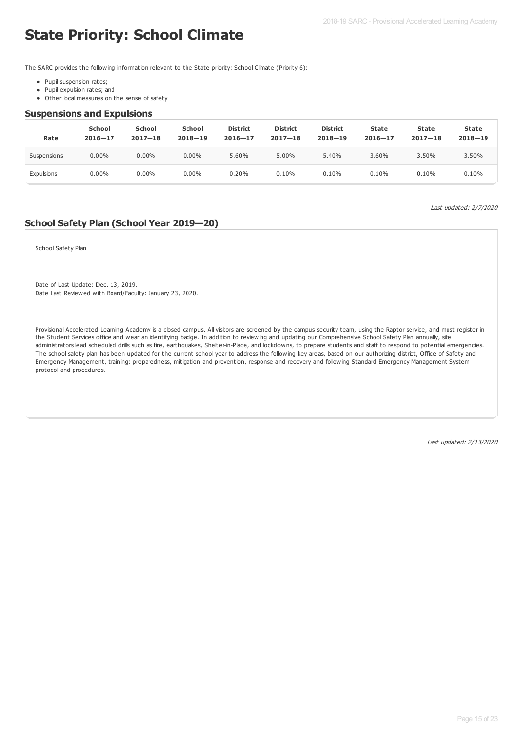# **State Priority: School Climate**

The SARC provides the following information relevant to the State priority: School Climate (Priority 6):

- Pupil suspension rates;
- Pupil expulsion rates; and
- Other local measures on the sense of safety

#### **Suspensions and Expulsions**

| Rate        | <b>School</b><br>$2016 - 17$ | <b>School</b><br>$2017 - 18$ | School<br>$2018 - 19$ | <b>District</b><br>$2016 - 17$ | <b>District</b><br>$2017 - 18$ | <b>District</b><br>$2018 - 19$ | <b>State</b><br>$2016 - 17$ | <b>State</b><br>$2017 - 18$ | <b>State</b><br>$2018 - 19$ |
|-------------|------------------------------|------------------------------|-----------------------|--------------------------------|--------------------------------|--------------------------------|-----------------------------|-----------------------------|-----------------------------|
| Suspensions | $0.00\%$                     | $0.00\%$                     | $0.00\%$              | 5.60%                          | 5.00%                          | 5.40%                          | 3.60%                       | 3.50%                       | 3.50%                       |
| Expulsions  | $0.00\%$                     | $0.00\%$                     | $0.00\%$              | 0.20%                          | 0.10%                          | 0.10%                          | 0.10%                       | 0.10%                       | 0.10%                       |

Last updated: 2/7/2020

## **School Safety Plan (School Year 2019—20)**

School Safety Plan

Date of Last Update: Dec. 13, 2019. Date Last Reviewed with Board/Faculty: January 23, 2020.

Provisional Accelerated Learning Academy is a closed campus. All visitors are screened by the campus security team, using the Raptor service, and must register in the Student Services office and wear an identifying badge. In addition to reviewing and updating our Comprehensive School Safety Plan annually, site administrators lead scheduled drills such as fire, earthquakes, Shelter-in-Place, and lockdowns, to prepare students and staff to respond to potential emergencies. The school safety plan has been updated for the current school year to address the following key areas, based on our authorizing district, Office of Safety and Emergency Management, training: preparedness, mitigation and prevention, response and recovery and following Standard Emergency Management System protocol and procedures.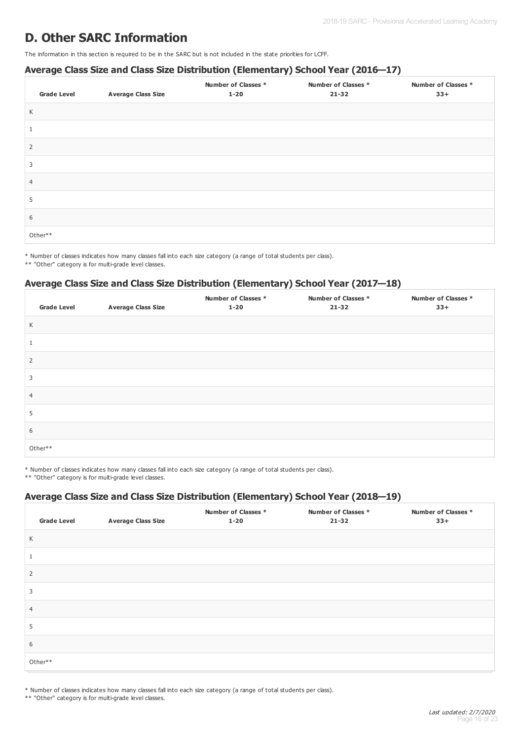# **D. Other SARC Information**

The information in this section is required to be in the SARC but is not included in the state priorities for LCFF.

# **Average Class Size and Class Size Distribution (Elementary) School Year (2016—17)**

| <b>Grade Level</b> | <b>Average Class Size</b> | Number of Classes *<br>$1 - 20$ | Number of Classes *<br>$21 - 32$ | Number of Classes *<br>$33+$ |
|--------------------|---------------------------|---------------------------------|----------------------------------|------------------------------|
| K                  |                           |                                 |                                  |                              |
|                    |                           |                                 |                                  |                              |
| $\overline{2}$     |                           |                                 |                                  |                              |
| 3                  |                           |                                 |                                  |                              |
| $\overline{4}$     |                           |                                 |                                  |                              |
| 5                  |                           |                                 |                                  |                              |
| 6                  |                           |                                 |                                  |                              |
| Other**            |                           |                                 |                                  |                              |

\* Number of classes indicates how many classes fall into each size category (a range of total students per class).

\*\* "Other" category is for multi-grade level classes.

# **Average Class Size and Class Size Distribution (Elementary) School Year (2017—18)**

| <b>Grade Level</b> | <b>Average Class Size</b> | Number of Classes *<br>$1 - 20$ | Number of Classes *<br>$21 - 32$ | Number of Classes *<br>$33+$ |
|--------------------|---------------------------|---------------------------------|----------------------------------|------------------------------|
| К                  |                           |                                 |                                  |                              |
| 1                  |                           |                                 |                                  |                              |
| 2                  |                           |                                 |                                  |                              |
| 3                  |                           |                                 |                                  |                              |
| $\overline{4}$     |                           |                                 |                                  |                              |
| 5                  |                           |                                 |                                  |                              |
| 6                  |                           |                                 |                                  |                              |
| Other**            |                           |                                 |                                  |                              |

\* Number of classes indicates how many classes fall into each size category (a range of total students per class).

\*\* "Other" category is for multi-grade level classes.

# **Average Class Size and Class Size Distribution (Elementary) School Year (2018—19)**

| <b>Grade Level</b> | <b>Average Class Size</b> | Number of Classes *<br>$1 - 20$ | Number of Classes *<br>$21 - 32$ | Number of Classes *<br>$33+$ |
|--------------------|---------------------------|---------------------------------|----------------------------------|------------------------------|
| K                  |                           |                                 |                                  |                              |
| $\mathbf{1}$       |                           |                                 |                                  |                              |
| 2                  |                           |                                 |                                  |                              |
| 3                  |                           |                                 |                                  |                              |
| $\overline{4}$     |                           |                                 |                                  |                              |
| 5                  |                           |                                 |                                  |                              |
| 6                  |                           |                                 |                                  |                              |
| Other**            |                           |                                 |                                  |                              |

\* Number of classes indicates how many classes fall into each size category (a range of total students per class).

\*\* "Other" category is for multi-grade level classes.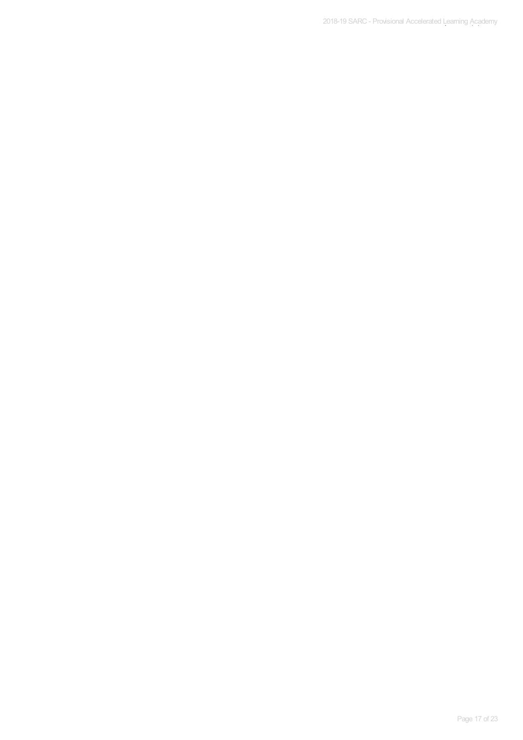2018-19 SARC - Provisional Accelerated Learning Academy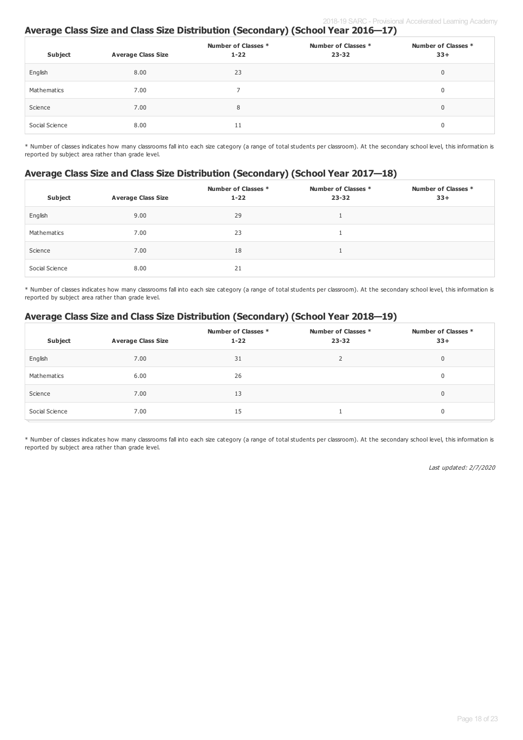# **Average Class Size and Class Size Distribution (Secondary) (School Year 2016—17)**

| Subject        | <b>Average Class Size</b> | Number of Classes *<br>$1 - 22$ | Number of Classes *<br>$23 - 32$ | Number of Classes *<br>$33+$ |
|----------------|---------------------------|---------------------------------|----------------------------------|------------------------------|
| English        | 8.00                      | 23                              |                                  | 0                            |
| Mathematics    | 7.00                      |                                 |                                  | 0                            |
| Science        | 7.00                      | 8                               |                                  | 0                            |
| Social Science | 8.00                      | 11                              |                                  | 0                            |

\* Number of classes indicates how many classrooms fall into each size category (a range of total students per classroom). At the secondary school level, this information is reported by subject area rather than grade level.

### **Average Class Size and Class Size Distribution (Secondary) (School Year 2017—18)**

| Subject        | <b>Average Class Size</b> | Number of Classes *<br>$1 - 22$ | Number of Classes *<br>$23 - 32$ | Number of Classes *<br>$33+$ |
|----------------|---------------------------|---------------------------------|----------------------------------|------------------------------|
| English        | 9.00                      | 29                              |                                  |                              |
| Mathematics    | 7.00                      | 23                              |                                  |                              |
| Science        | 7.00                      | 18                              |                                  |                              |
| Social Science | 8.00                      | 21                              |                                  |                              |

\* Number of classes indicates how many classrooms fall into each size category (a range of total students per classroom). At the secondary school level, this information is reported by subject area rather than grade level.

### **Average Class Size and Class Size Distribution (Secondary) (School Year 2018—19)**

| Subject        | <b>Average Class Size</b> | Number of Classes *<br>$1 - 22$ | Number of Classes *<br>$23 - 32$ | Number of Classes *<br>$33+$ |
|----------------|---------------------------|---------------------------------|----------------------------------|------------------------------|
| English        | 7.00                      | 31                              | $\overline{2}$                   | 0                            |
| Mathematics    | 6.00                      | 26                              |                                  | 0                            |
| Science        | 7.00                      | 13                              |                                  | 0                            |
| Social Science | 7.00                      | 15                              |                                  | 0                            |

\* Number of classes indicates how many classrooms fall into each size category (a range of total students per classroom). At the secondary school level, this information is reported by subject area rather than grade level.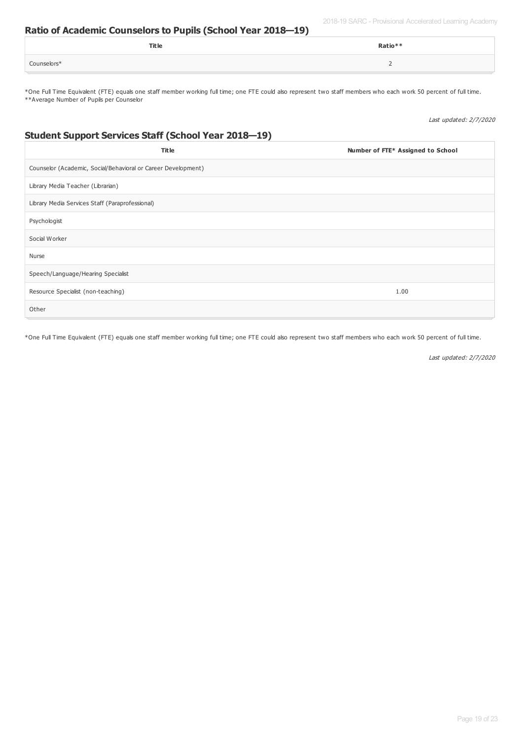2018-19 SARC - Provisional Accelerated Learning Academy

# **Ratio of Academic Counselors to Pupils (School Year 2018—19)**

|             | <b>Title</b> | Ratio** |
|-------------|--------------|---------|
| Counselors* |              |         |

\*One Full Time Equivalent (FTE) equals one staff member working full time; one FTE could also represent two staff members who each work 50 percent of full time. \*\*Average Number of Pupils per Counselor

Last updated: 2/7/2020

# **Student Support Services Staff (School Year 2018—19)**

| <b>Title</b>                                                  | Number of FTE* Assigned to School |
|---------------------------------------------------------------|-----------------------------------|
| Counselor (Academic, Social/Behavioral or Career Development) |                                   |
| Library Media Teacher (Librarian)                             |                                   |
| Library Media Services Staff (Paraprofessional)               |                                   |
| Psychologist                                                  |                                   |
| Social Worker                                                 |                                   |
| Nurse                                                         |                                   |
| Speech/Language/Hearing Specialist                            |                                   |
| Resource Specialist (non-teaching)                            | 1.00                              |
| Other                                                         |                                   |

\*One Full Time Equivalent (FTE) equals one staff member working full time; one FTE could also represent two staff members who each work 50 percent of full time.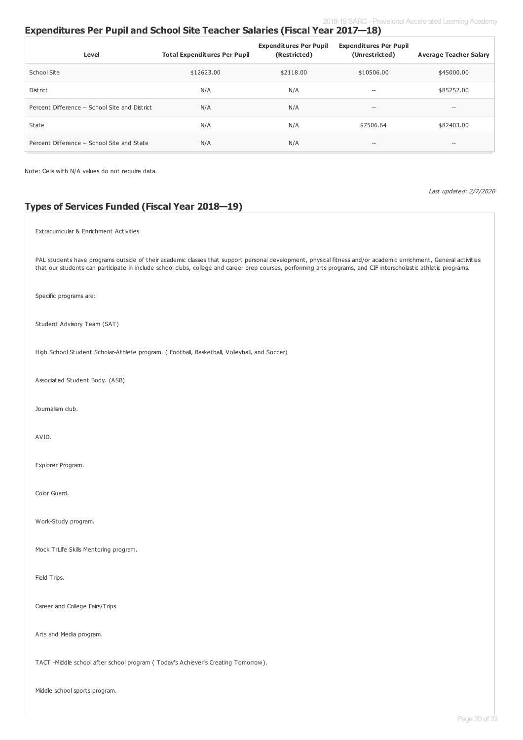# **Expenditures Per Pupil and School Site Teacher Salaries (Fiscal Year 2017—18)**

| Level                                         | <b>Total Expenditures Per Pupil</b> | <b>Expenditures Per Pupil</b><br>(Restricted) | <b>Expenditures Per Pupil</b><br>(Unrestricted)     | <b>Average Teacher Salary</b>                       |
|-----------------------------------------------|-------------------------------------|-----------------------------------------------|-----------------------------------------------------|-----------------------------------------------------|
| School Site                                   | \$12623.00                          | \$2118.00                                     | \$10506.00                                          | \$45000.00                                          |
| <b>District</b>                               | N/A                                 | N/A                                           | $\hspace{0.05cm} -$                                 | \$85252.00                                          |
| Percent Difference - School Site and District | N/A                                 | N/A                                           | $\hspace{0.05cm} -\hspace{0.05cm} -\hspace{0.05cm}$ | $\hspace{0.05cm} -\hspace{0.05cm} -\hspace{0.05cm}$ |
| State                                         | N/A                                 | N/A                                           | \$7506.64                                           | \$82403.00                                          |
| Percent Difference - School Site and State    | N/A                                 | N/A                                           | $-$                                                 | $\hspace{0.05cm} -\hspace{0.05cm} -\hspace{0.05cm}$ |

Note: Cells with N/A values do not require data.

Last updated: 2/7/2020

### **Types of Services Funded (Fiscal Year 2018—19)**

Extracurricular & Enrichment Activities

PAL students have programs outside of their academic classes that support personal development, physical fitness and/or academic enrichment, General activities that our students can participate in include school clubs, college and career prep courses, performing arts programs, and CIF interscholastic athletic programs.

Specific programs are:

Student Advisory Team (SAT)

High School Student Scholar-Athlete program. ( Football, Basketball, Volleyball, and Soccer)

Associated Student Body. (ASB)

Journalism club.

AVID.

Explorer Program.

Color Guard.

Work-Study program.

Mock TrLife Skills Mentoring program.

Field Trips.

Career and College Fairs/Trips

Arts and Media program.

TACT -Middle school after school program ( Today's Achiever's Creating Tomorrow).

Middle school sports program.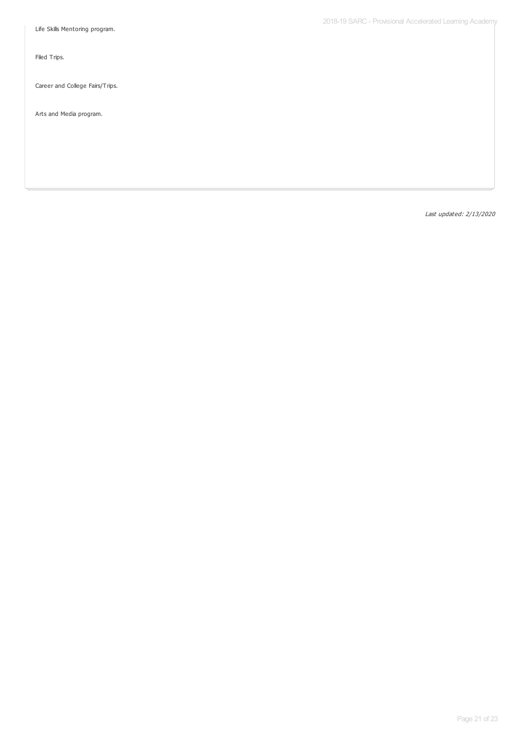Filed Trips.

Career and College Fairs/Trips.

Arts and Media program.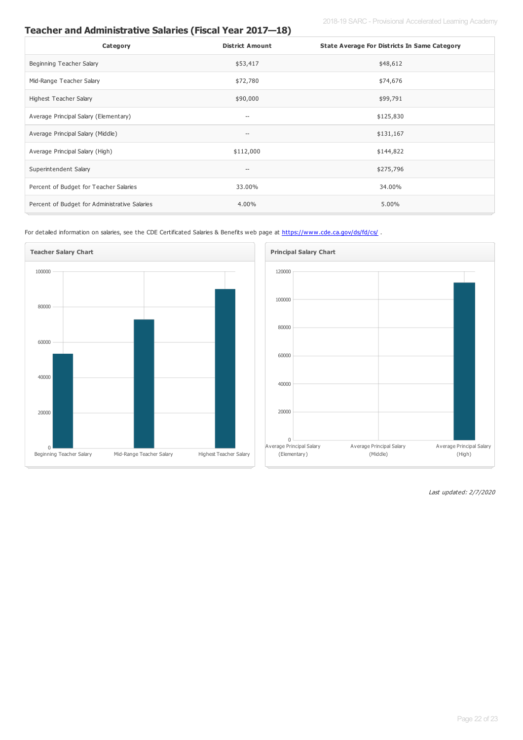# **Teacher and Administrative Salaries (Fiscal Year 2017—18)**

| Category                                      | <b>District Amount</b> | <b>State Average For Districts In Same Category</b> |
|-----------------------------------------------|------------------------|-----------------------------------------------------|
| Beginning Teacher Salary                      | \$53,417               | \$48,612                                            |
| Mid-Range Teacher Salary                      | \$72,780               | \$74,676                                            |
| Highest Teacher Salary                        | \$90,000               | \$99,791                                            |
| Average Principal Salary (Elementary)         | --                     | \$125,830                                           |
| Average Principal Salary (Middle)             | --                     | \$131,167                                           |
| Average Principal Salary (High)               | \$112,000              | \$144,822                                           |
| Superintendent Salary                         | --                     | \$275,796                                           |
| Percent of Budget for Teacher Salaries        | 33.00%                 | 34.00%                                              |
| Percent of Budget for Administrative Salaries | 4.00%                  | 5.00%                                               |

For detailed information on salaries, see the CDE Certificated Salaries & Benefits web page at <https://www.cde.ca.gov/ds/fd/cs/>.